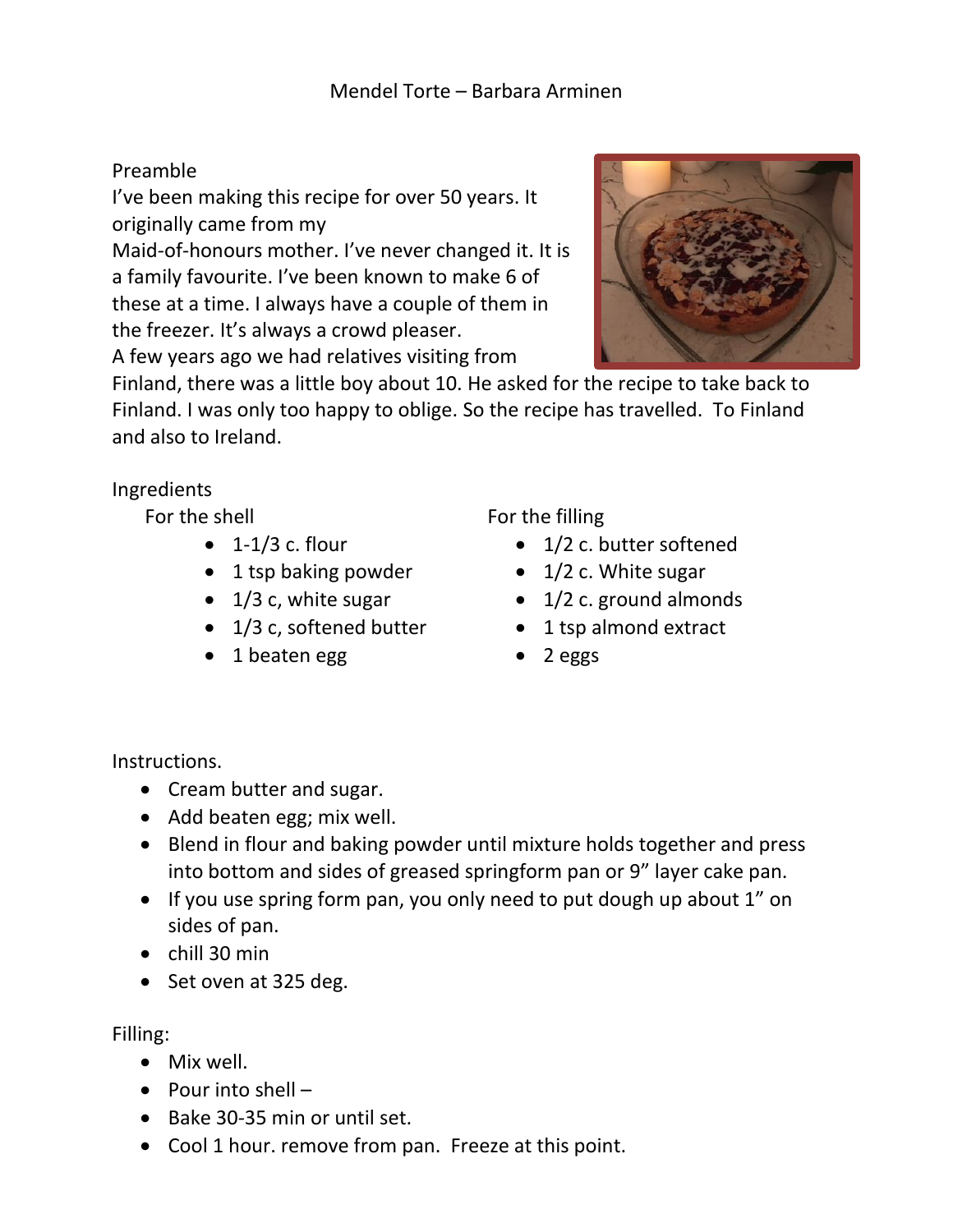## Preamble

I've been making this recipe for over 50 years. It originally came from my

Maid-of-honours mother. I've never changed it. It is a family favourite. I've been known to make 6 of these at a time. I always have a couple of them in the freezer. It's always a crowd pleaser.

A few years ago we had relatives visiting from



Finland, there was a little boy about 10. He asked for the recipe to take back to Finland. I was only too happy to oblige. So the recipe has travelled. To Finland and also to Ireland.

## Ingredients

For the shell

- $\bullet$  1-1/3 c. flour
- 1 tsp baking powder
- 1/3 c, white sugar
- 1/3 c, softened butter
- 1 beaten egg

For the filling

- 1/2 c. butter softened
- 1/2 c. White sugar
- $\bullet$  1/2 c. ground almonds
- 1 tsp almond extract
- 2 eggs

Instructions.

- Cream butter and sugar.
- Add beaten egg; mix well.
- Blend in flour and baking powder until mixture holds together and press into bottom and sides of greased springform pan or 9" layer cake pan.
- If you use spring form pan, you only need to put dough up about 1" on sides of pan.
- chill 30 min
- Set oven at 325 deg.

Filling:

- Mix well.
- Pour into shell –
- Bake 30-35 min or until set.
- Cool 1 hour. remove from pan. Freeze at this point.